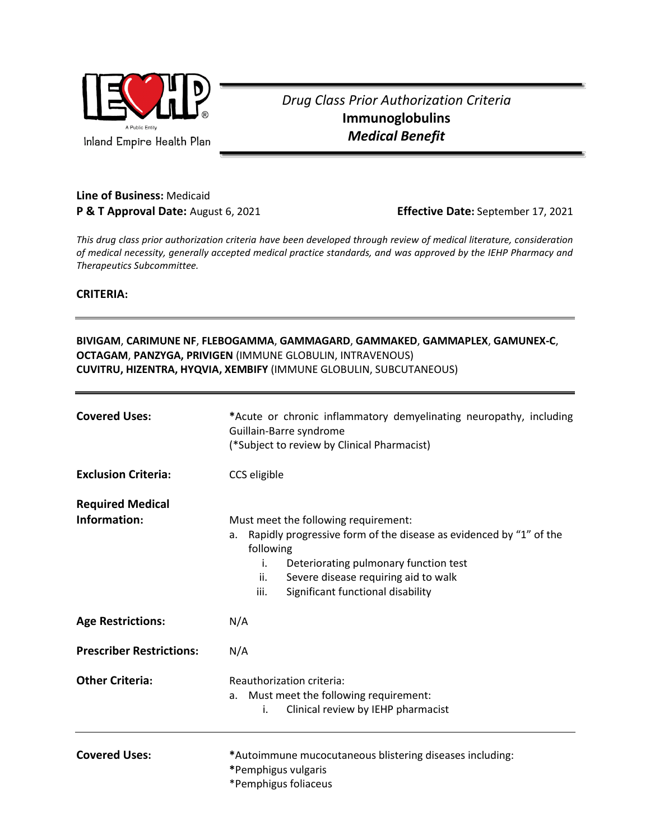

## *Drug Class Prior Authorization Criteria* **Immunoglobulins** *Medical Benefit*

## **Line of Business:** Medicaid **P & T Approval Date:** August 6, 2021 **Effective Date:** September 17, 2021

*This drug class prior authorization criteria have been developed through review of medical literature, consideration of medical necessity, generally accepted medical practice standards, and was approved by the IEHP Pharmacy and Therapeutics Subcommittee.*

**CRITERIA:**

## **BIVIGAM**, **CARIMUNE NF**, **FLEBOGAMMA**, **GAMMAGARD**, **GAMMAKED**, **GAMMAPLEX**, **GAMUNEX-C**, **OCTAGAM**, **PANZYGA, PRIVIGEN** (IMMUNE GLOBULIN, INTRAVENOUS) **CUVITRU, HIZENTRA, HYQVIA, XEMBIFY** (IMMUNE GLOBULIN, SUBCUTANEOUS)

| <b>Covered Uses:</b>                    | *Acute or chronic inflammatory demyelinating neuropathy, including<br>Guillain-Barre syndrome<br>(*Subject to review by Clinical Pharmacist)                                                                                                                             |
|-----------------------------------------|--------------------------------------------------------------------------------------------------------------------------------------------------------------------------------------------------------------------------------------------------------------------------|
| <b>Exclusion Criteria:</b>              | CCS eligible                                                                                                                                                                                                                                                             |
| <b>Required Medical</b><br>Information: | Must meet the following requirement:<br>Rapidly progressive form of the disease as evidenced by "1" of the<br>a.<br>following<br>i.<br>Deteriorating pulmonary function test<br>Severe disease requiring aid to walk<br>ii.<br>iii.<br>Significant functional disability |
| <b>Age Restrictions:</b>                | N/A                                                                                                                                                                                                                                                                      |
| <b>Prescriber Restrictions:</b>         | N/A                                                                                                                                                                                                                                                                      |
| <b>Other Criteria:</b>                  | Reauthorization criteria:<br>Must meet the following requirement:<br>a.<br>Clinical review by IEHP pharmacist<br>i.                                                                                                                                                      |
| <b>Covered Uses:</b>                    | *Autoimmune mucocutaneous blistering diseases including:<br>*Pemphigus vulgaris<br>*Pemphigus foliaceus                                                                                                                                                                  |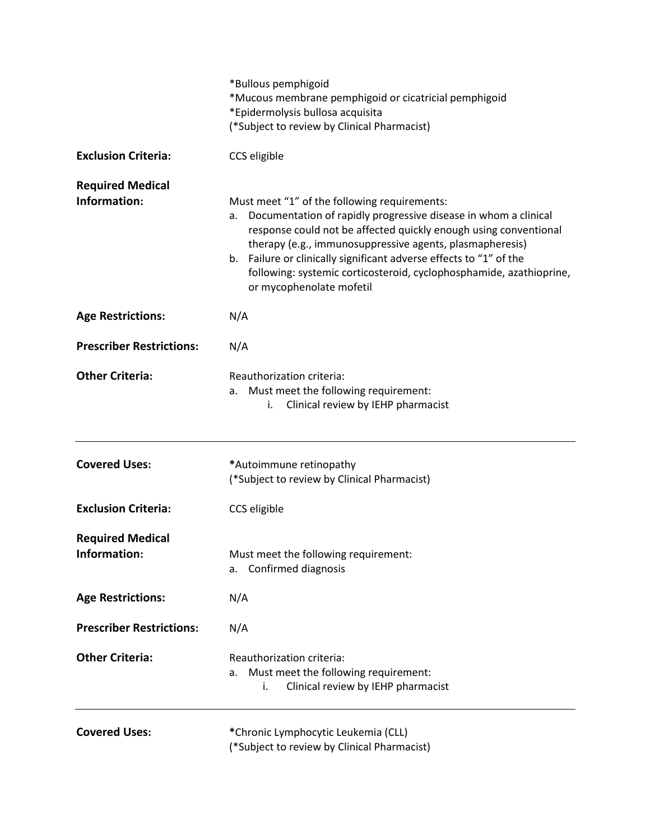|                                         | *Bullous pemphigoid<br>*Mucous membrane pemphigoid or cicatricial pemphigoid<br>*Epidermolysis bullosa acquisita<br>(*Subject to review by Clinical Pharmacist)                                                                                                                                                                                                                                                                |
|-----------------------------------------|--------------------------------------------------------------------------------------------------------------------------------------------------------------------------------------------------------------------------------------------------------------------------------------------------------------------------------------------------------------------------------------------------------------------------------|
| <b>Exclusion Criteria:</b>              | CCS eligible                                                                                                                                                                                                                                                                                                                                                                                                                   |
| <b>Required Medical</b><br>Information: | Must meet "1" of the following requirements:<br>Documentation of rapidly progressive disease in whom a clinical<br>а.<br>response could not be affected quickly enough using conventional<br>therapy (e.g., immunosuppressive agents, plasmapheresis)<br>b. Failure or clinically significant adverse effects to "1" of the<br>following: systemic corticosteroid, cyclophosphamide, azathioprine,<br>or mycophenolate mofetil |
| <b>Age Restrictions:</b>                | N/A                                                                                                                                                                                                                                                                                                                                                                                                                            |
| <b>Prescriber Restrictions:</b>         | N/A                                                                                                                                                                                                                                                                                                                                                                                                                            |
| <b>Other Criteria:</b>                  | Reauthorization criteria:<br>Must meet the following requirement:<br>а.<br>Clinical review by IEHP pharmacist<br>i.                                                                                                                                                                                                                                                                                                            |
| <b>Covered Uses:</b>                    | *Autoimmune retinopathy<br>(*Subject to review by Clinical Pharmacist)                                                                                                                                                                                                                                                                                                                                                         |
| <b>Exclusion Criteria:</b>              | CCS eligible                                                                                                                                                                                                                                                                                                                                                                                                                   |
| <b>Required Medical</b><br>Information: | Must meet the following requirement:<br>Confirmed diagnosis<br>а.                                                                                                                                                                                                                                                                                                                                                              |
| <b>Age Restrictions:</b>                | N/A                                                                                                                                                                                                                                                                                                                                                                                                                            |
| <b>Prescriber Restrictions:</b>         | N/A                                                                                                                                                                                                                                                                                                                                                                                                                            |
| <b>Other Criteria:</b>                  | Reauthorization criteria:<br>Must meet the following requirement:<br>а.<br>Clinical review by IEHP pharmacist<br>i.                                                                                                                                                                                                                                                                                                            |
| <b>Covered Uses:</b>                    | *Chronic Lymphocytic Leukemia (CLL)<br>(*Subject to review by Clinical Pharmacist)                                                                                                                                                                                                                                                                                                                                             |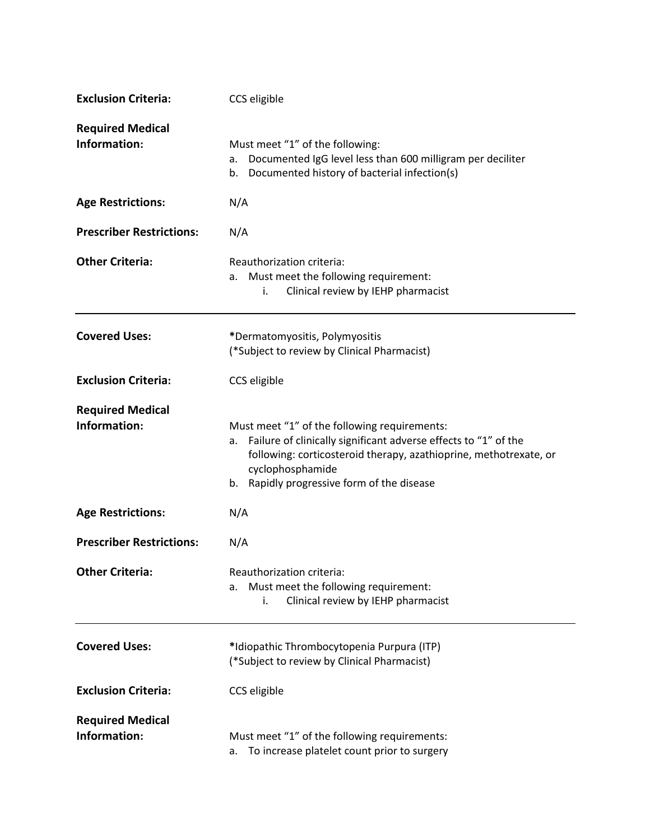| <b>Exclusion Criteria:</b>              | CCS eligible                                                                                                                                                                                                                                                 |
|-----------------------------------------|--------------------------------------------------------------------------------------------------------------------------------------------------------------------------------------------------------------------------------------------------------------|
| <b>Required Medical</b><br>Information: | Must meet "1" of the following:<br>Documented IgG level less than 600 milligram per deciliter<br>а.<br>Documented history of bacterial infection(s)<br>b.                                                                                                    |
| <b>Age Restrictions:</b>                | N/A                                                                                                                                                                                                                                                          |
| <b>Prescriber Restrictions:</b>         | N/A                                                                                                                                                                                                                                                          |
| <b>Other Criteria:</b>                  | Reauthorization criteria:<br>Must meet the following requirement:<br>а.<br>Clinical review by IEHP pharmacist<br>i.                                                                                                                                          |
| <b>Covered Uses:</b>                    | *Dermatomyositis, Polymyositis<br>(*Subject to review by Clinical Pharmacist)                                                                                                                                                                                |
| <b>Exclusion Criteria:</b>              | CCS eligible                                                                                                                                                                                                                                                 |
| <b>Required Medical</b><br>Information: | Must meet "1" of the following requirements:<br>Failure of clinically significant adverse effects to "1" of the<br>а.<br>following: corticosteroid therapy, azathioprine, methotrexate, or<br>cyclophosphamide<br>b. Rapidly progressive form of the disease |
| <b>Age Restrictions:</b>                | N/A                                                                                                                                                                                                                                                          |
| <b>Prescriber Restrictions:</b>         | N/A                                                                                                                                                                                                                                                          |
| <b>Other Criteria:</b>                  | Reauthorization criteria:<br>Must meet the following requirement:<br>а.<br>Clinical review by IEHP pharmacist<br>i.                                                                                                                                          |
| <b>Covered Uses:</b>                    | *Idiopathic Thrombocytopenia Purpura (ITP)<br>(*Subject to review by Clinical Pharmacist)                                                                                                                                                                    |
| <b>Exclusion Criteria:</b>              | CCS eligible                                                                                                                                                                                                                                                 |
| <b>Required Medical</b><br>Information: | Must meet "1" of the following requirements:<br>To increase platelet count prior to surgery<br>а.                                                                                                                                                            |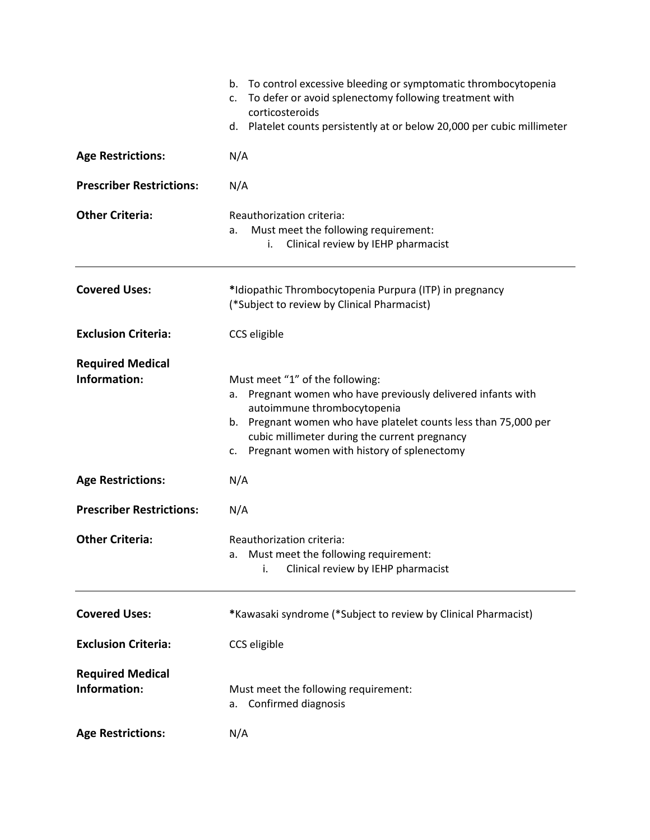|                                         | b. To control excessive bleeding or symptomatic thrombocytopenia<br>To defer or avoid splenectomy following treatment with<br>$\mathsf{C}$ .<br>corticosteroids<br>d. Platelet counts persistently at or below 20,000 per cubic millimeter                                                                   |  |  |
|-----------------------------------------|--------------------------------------------------------------------------------------------------------------------------------------------------------------------------------------------------------------------------------------------------------------------------------------------------------------|--|--|
| <b>Age Restrictions:</b>                | N/A                                                                                                                                                                                                                                                                                                          |  |  |
| <b>Prescriber Restrictions:</b>         | N/A                                                                                                                                                                                                                                                                                                          |  |  |
| <b>Other Criteria:</b>                  | Reauthorization criteria:<br>Must meet the following requirement:<br>a.<br>Clinical review by IEHP pharmacist<br>i.                                                                                                                                                                                          |  |  |
| <b>Covered Uses:</b>                    | *Idiopathic Thrombocytopenia Purpura (ITP) in pregnancy<br>(*Subject to review by Clinical Pharmacist)                                                                                                                                                                                                       |  |  |
| <b>Exclusion Criteria:</b>              | CCS eligible                                                                                                                                                                                                                                                                                                 |  |  |
| <b>Required Medical</b><br>Information: | Must meet "1" of the following:<br>Pregnant women who have previously delivered infants with<br>а.<br>autoimmune thrombocytopenia<br>Pregnant women who have platelet counts less than 75,000 per<br>b.<br>cubic millimeter during the current pregnancy<br>Pregnant women with history of splenectomy<br>c. |  |  |
| <b>Age Restrictions:</b>                | N/A                                                                                                                                                                                                                                                                                                          |  |  |
| <b>Prescriber Restrictions:</b>         | N/A                                                                                                                                                                                                                                                                                                          |  |  |
| <b>Other Criteria:</b>                  | Reauthorization criteria:<br>Must meet the following requirement:<br>а.<br>Clinical review by IEHP pharmacist<br>i.                                                                                                                                                                                          |  |  |
| <b>Covered Uses:</b>                    | *Kawasaki syndrome (*Subject to review by Clinical Pharmacist)                                                                                                                                                                                                                                               |  |  |
| <b>Exclusion Criteria:</b>              | CCS eligible                                                                                                                                                                                                                                                                                                 |  |  |
| <b>Required Medical</b><br>Information: | Must meet the following requirement:<br>Confirmed diagnosis<br>а.                                                                                                                                                                                                                                            |  |  |
| <b>Age Restrictions:</b>                | N/A                                                                                                                                                                                                                                                                                                          |  |  |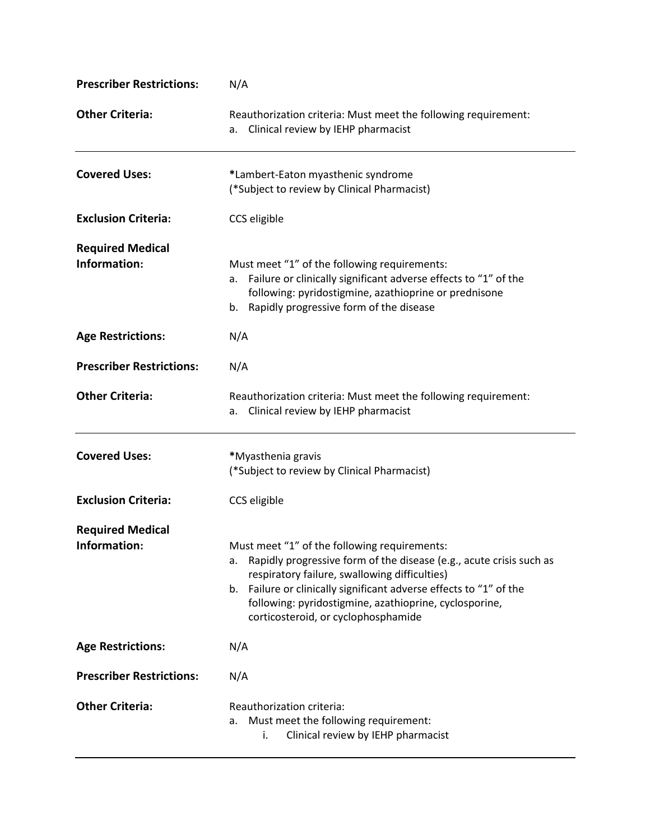| <b>Prescriber Restrictions:</b>         | N/A                                                                                                                                                                                                                                                                                                                                                  |
|-----------------------------------------|------------------------------------------------------------------------------------------------------------------------------------------------------------------------------------------------------------------------------------------------------------------------------------------------------------------------------------------------------|
| <b>Other Criteria:</b>                  | Reauthorization criteria: Must meet the following requirement:<br>Clinical review by IEHP pharmacist<br>а.                                                                                                                                                                                                                                           |
| <b>Covered Uses:</b>                    | *Lambert-Eaton myasthenic syndrome<br>(*Subject to review by Clinical Pharmacist)                                                                                                                                                                                                                                                                    |
| <b>Exclusion Criteria:</b>              | CCS eligible                                                                                                                                                                                                                                                                                                                                         |
| <b>Required Medical</b><br>Information: | Must meet "1" of the following requirements:<br>Failure or clinically significant adverse effects to "1" of the<br>а.<br>following: pyridostigmine, azathioprine or prednisone<br>b. Rapidly progressive form of the disease                                                                                                                         |
| <b>Age Restrictions:</b>                | N/A                                                                                                                                                                                                                                                                                                                                                  |
| <b>Prescriber Restrictions:</b>         | N/A                                                                                                                                                                                                                                                                                                                                                  |
| <b>Other Criteria:</b>                  | Reauthorization criteria: Must meet the following requirement:<br>Clinical review by IEHP pharmacist<br>а.                                                                                                                                                                                                                                           |
| <b>Covered Uses:</b>                    | *Myasthenia gravis<br>(*Subject to review by Clinical Pharmacist)                                                                                                                                                                                                                                                                                    |
| <b>Exclusion Criteria:</b>              | CCS eligible                                                                                                                                                                                                                                                                                                                                         |
| <b>Required Medical</b>                 |                                                                                                                                                                                                                                                                                                                                                      |
| Information:                            | Must meet "1" of the following requirements:<br>Rapidly progressive form of the disease (e.g., acute crisis such as<br>а.<br>respiratory failure, swallowing difficulties)<br>Failure or clinically significant adverse effects to "1" of the<br>b.<br>following: pyridostigmine, azathioprine, cyclosporine,<br>corticosteroid, or cyclophosphamide |
| <b>Age Restrictions:</b>                | N/A                                                                                                                                                                                                                                                                                                                                                  |
| <b>Prescriber Restrictions:</b>         | N/A                                                                                                                                                                                                                                                                                                                                                  |
| <b>Other Criteria:</b>                  | Reauthorization criteria:<br>Must meet the following requirement:<br>a.<br>Clinical review by IEHP pharmacist<br>İ.                                                                                                                                                                                                                                  |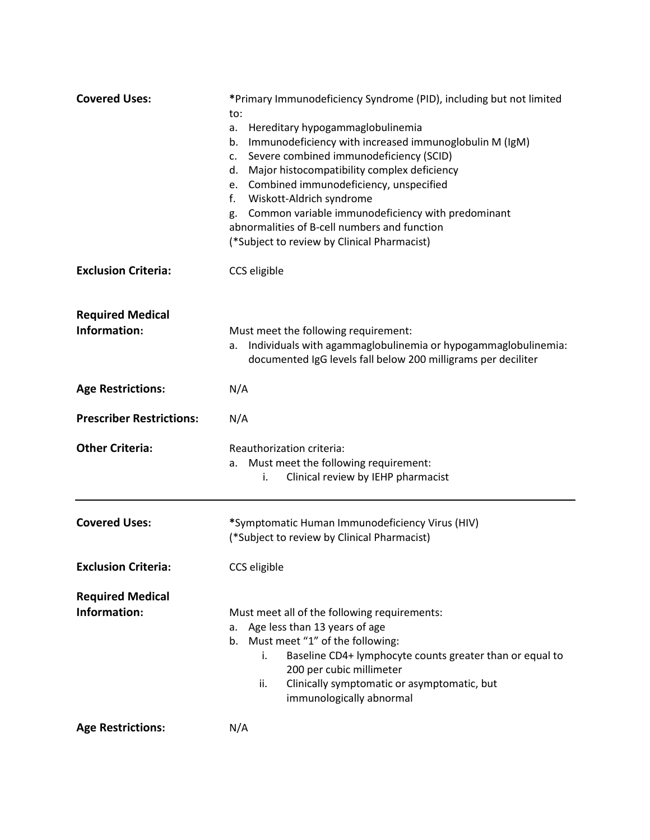| <b>Covered Uses:</b>                    | *Primary Immunodeficiency Syndrome (PID), including but not limited<br>to:<br>Hereditary hypogammaglobulinemia<br>a.<br>Immunodeficiency with increased immunoglobulin M (IgM)<br>b.<br>Severe combined immunodeficiency (SCID)<br>c.<br>Major histocompatibility complex deficiency<br>d.<br>Combined immunodeficiency, unspecified<br>e.<br>Wiskott-Aldrich syndrome<br>f.<br>Common variable immunodeficiency with predominant<br>g.<br>abnormalities of B-cell numbers and function<br>(*Subject to review by Clinical Pharmacist) |
|-----------------------------------------|----------------------------------------------------------------------------------------------------------------------------------------------------------------------------------------------------------------------------------------------------------------------------------------------------------------------------------------------------------------------------------------------------------------------------------------------------------------------------------------------------------------------------------------|
| <b>Exclusion Criteria:</b>              | CCS eligible                                                                                                                                                                                                                                                                                                                                                                                                                                                                                                                           |
| <b>Required Medical</b><br>Information: | Must meet the following requirement:<br>Individuals with agammaglobulinemia or hypogammaglobulinemia:<br>a.<br>documented IgG levels fall below 200 milligrams per deciliter                                                                                                                                                                                                                                                                                                                                                           |
| <b>Age Restrictions:</b>                | N/A                                                                                                                                                                                                                                                                                                                                                                                                                                                                                                                                    |
| <b>Prescriber Restrictions:</b>         | N/A                                                                                                                                                                                                                                                                                                                                                                                                                                                                                                                                    |
| <b>Other Criteria:</b>                  | Reauthorization criteria:<br>Must meet the following requirement:<br>a.<br>Clinical review by IEHP pharmacist<br>i.                                                                                                                                                                                                                                                                                                                                                                                                                    |
| <b>Covered Uses:</b>                    | *Symptomatic Human Immunodeficiency Virus (HIV)<br>(*Subject to review by Clinical Pharmacist)                                                                                                                                                                                                                                                                                                                                                                                                                                         |
| <b>Exclusion Criteria:</b>              | CCS eligible                                                                                                                                                                                                                                                                                                                                                                                                                                                                                                                           |
| <b>Required Medical</b><br>Information: | Must meet all of the following requirements:<br>a. Age less than 13 years of age<br>b. Must meet "1" of the following:<br>Baseline CD4+ lymphocyte counts greater than or equal to<br>i.<br>200 per cubic millimeter<br>Clinically symptomatic or asymptomatic, but<br>ii.<br>immunologically abnormal                                                                                                                                                                                                                                 |
| <b>Age Restrictions:</b>                | N/A                                                                                                                                                                                                                                                                                                                                                                                                                                                                                                                                    |